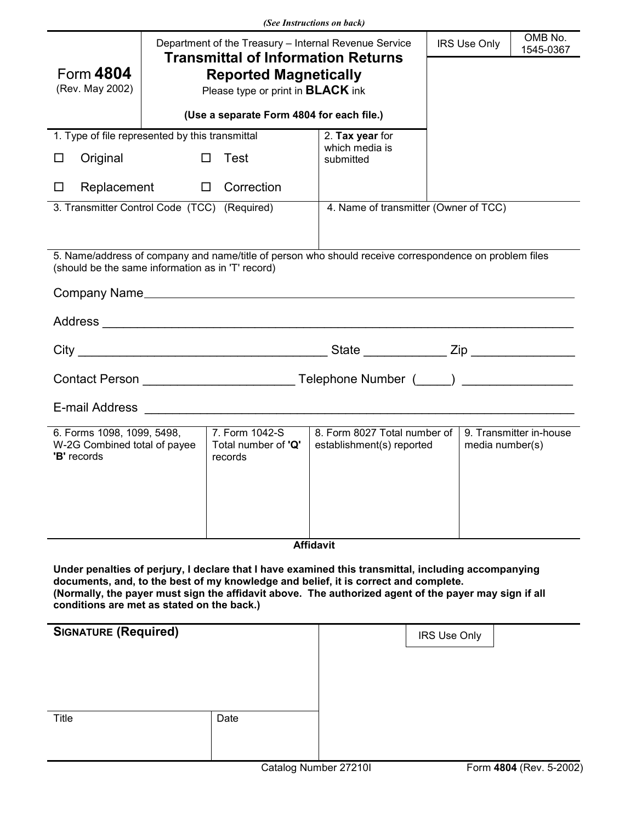| (See Instructions on back)                                                                                                                                                                                                                                                                                                                        |                                                                                                    |                                                  |                                                           |  |                     |                                            |  |
|---------------------------------------------------------------------------------------------------------------------------------------------------------------------------------------------------------------------------------------------------------------------------------------------------------------------------------------------------|----------------------------------------------------------------------------------------------------|--------------------------------------------------|-----------------------------------------------------------|--|---------------------|--------------------------------------------|--|
|                                                                                                                                                                                                                                                                                                                                                   | Department of the Treasury - Internal Revenue Service<br><b>Transmittal of Information Returns</b> |                                                  |                                                           |  | <b>IRS Use Only</b> | OMB No.<br>1545-0367                       |  |
| Form 4804<br><b>Reported Magnetically</b>                                                                                                                                                                                                                                                                                                         |                                                                                                    |                                                  |                                                           |  |                     |                                            |  |
| (Rev. May 2002)                                                                                                                                                                                                                                                                                                                                   | Please type or print in <b>BLACK</b> ink                                                           |                                                  |                                                           |  |                     |                                            |  |
|                                                                                                                                                                                                                                                                                                                                                   |                                                                                                    | (Use a separate Form 4804 for each file.)        |                                                           |  |                     |                                            |  |
| 1. Type of file represented by this transmittal                                                                                                                                                                                                                                                                                                   |                                                                                                    |                                                  | 2. Tax year for<br>which media is                         |  |                     |                                            |  |
| Original<br>ப                                                                                                                                                                                                                                                                                                                                     | $\Box$                                                                                             | Test                                             | submitted                                                 |  |                     |                                            |  |
| Replacement<br>ப                                                                                                                                                                                                                                                                                                                                  |                                                                                                    | $\Box$ Correction                                |                                                           |  |                     |                                            |  |
| 3. Transmitter Control Code (TCC) (Required)                                                                                                                                                                                                                                                                                                      |                                                                                                    |                                                  | 4. Name of transmitter (Owner of TCC)                     |  |                     |                                            |  |
|                                                                                                                                                                                                                                                                                                                                                   |                                                                                                    |                                                  |                                                           |  |                     |                                            |  |
| 5. Name/address of company and name/title of person who should receive correspondence on problem files<br>(should be the same information as in 'T' record)                                                                                                                                                                                       |                                                                                                    |                                                  |                                                           |  |                     |                                            |  |
|                                                                                                                                                                                                                                                                                                                                                   |                                                                                                    |                                                  |                                                           |  |                     |                                            |  |
|                                                                                                                                                                                                                                                                                                                                                   |                                                                                                    |                                                  |                                                           |  |                     |                                            |  |
|                                                                                                                                                                                                                                                                                                                                                   |                                                                                                    |                                                  |                                                           |  |                     |                                            |  |
|                                                                                                                                                                                                                                                                                                                                                   |                                                                                                    |                                                  |                                                           |  |                     |                                            |  |
| E-mail Address and the contract of the contract of the contract of the contract of the contract of the contract of the contract of the contract of the contract of the contract of the contract of the contract of the contrac                                                                                                                    |                                                                                                    |                                                  |                                                           |  |                     |                                            |  |
| 6. Forms 1098, 1099, 5498,<br>W-2G Combined total of payee<br>'B' records                                                                                                                                                                                                                                                                         |                                                                                                    | 7. Form 1042-S<br>Total number of 'Q'<br>records | 8. Form 8027 Total number of<br>establishment(s) reported |  |                     | 9. Transmitter in-house<br>media number(s) |  |
|                                                                                                                                                                                                                                                                                                                                                   |                                                                                                    |                                                  |                                                           |  |                     |                                            |  |
|                                                                                                                                                                                                                                                                                                                                                   |                                                                                                    |                                                  |                                                           |  |                     |                                            |  |
| <b>Affidavit</b>                                                                                                                                                                                                                                                                                                                                  |                                                                                                    |                                                  |                                                           |  |                     |                                            |  |
| Under penalties of perjury, I declare that I have examined this transmittal, including accompanying<br>documents, and, to the best of my knowledge and belief, it is correct and complete.<br>(Normally, the payer must sign the affidavit above. The authorized agent of the payer may sign if all<br>conditions are met as stated on the back.) |                                                                                                    |                                                  |                                                           |  |                     |                                            |  |
| <b>SIGNATURE (Required)</b>                                                                                                                                                                                                                                                                                                                       |                                                                                                    |                                                  |                                                           |  | <b>IRS Use Only</b> |                                            |  |
|                                                                                                                                                                                                                                                                                                                                                   |                                                                                                    |                                                  |                                                           |  |                     |                                            |  |
|                                                                                                                                                                                                                                                                                                                                                   |                                                                                                    |                                                  |                                                           |  |                     |                                            |  |
| Title                                                                                                                                                                                                                                                                                                                                             |                                                                                                    | Date                                             |                                                           |  |                     |                                            |  |
|                                                                                                                                                                                                                                                                                                                                                   |                                                                                                    |                                                  |                                                           |  |                     |                                            |  |
|                                                                                                                                                                                                                                                                                                                                                   |                                                                                                    |                                                  |                                                           |  |                     |                                            |  |